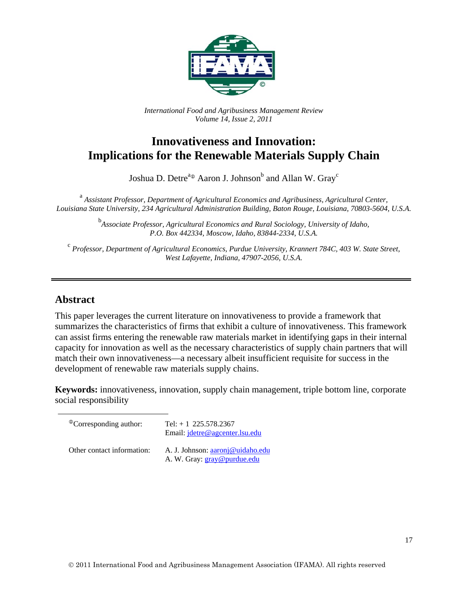

*International Food and Agribusiness Management Review Volume 14, Issue 2, 2011*

# **Innovativeness and Innovation: Implications for the Renewable Materials Supply Chain**

Joshua D. Detre<sup>a®</sup> Aaron J. Johnson<sup>b</sup> and Allan W. Gray<sup>c</sup>

 a *Assistant Professor, Department of Agricultural Economics and Agribusiness, Agricultural Center, Louisiana State University, 234 Agricultural Administration Building, Baton Rouge, Louisiana, 70803-5604, U.S.A.* 

> <sup>b</sup><br>Associate Professor, Agricultural Economics and Rural Sociology, University of Idaho, *P.O. Box 442334, Moscow, Idaho, 83844-2334, U.S.A.*

<sup>c</sup> *Professor, Department of Agricultural Economics, Purdue University, Krannert 784C, 403 W. State Street, West Lafayette, Indiana, 47907-2056, U.S.A.* 

#### **Abstract**

This paper leverages the current literature on innovativeness to provide a framework that summarizes the characteristics of firms that exhibit a culture of innovativeness. This framework can assist firms entering the renewable raw materials market in identifying gaps in their internal capacity for innovation as well as the necessary characteristics of supply chain partners that will match their own innovativeness—a necessary albeit insufficient requisite for success in the development of renewable raw materials supply chains.

**Keywords:** innovativeness, innovation, supply chain management, triple bottom line, corporate social responsibility

| <sup>®</sup> Corresponding author: | Tel: $+ 1$ 225.578.2367<br>Email: <i>jdetre@agcenter.lsu.edu</i> |
|------------------------------------|------------------------------------------------------------------|
| Other contact information:         | A. J. Johnson: aaronj@uidaho.edu<br>A. W. Gray: gray@purdue.edu  |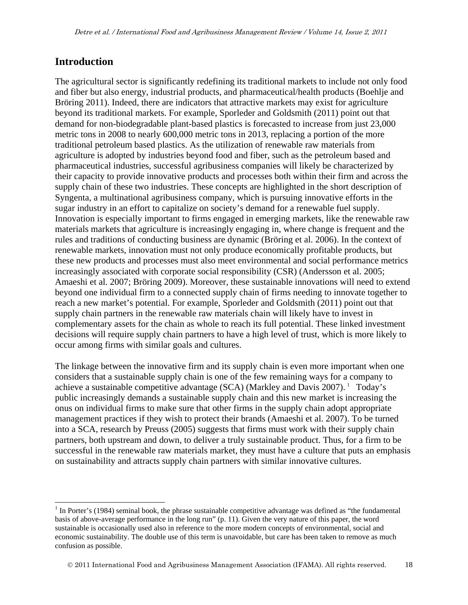#### **Introduction**

 $\overline{\phantom{a}}$ 

The agricultural sector is significantly redefining its traditional markets to include not only food and fiber but also energy, industrial products, and pharmaceutical/health products (Boehlje and Bröring 2011). Indeed, there are indicators that attractive markets may exist for agriculture beyond its traditional markets. For example, Sporleder and Goldsmith (2011) point out that demand for non-biodegradable plant-based plastics is forecasted to increase from just 23,000 metric tons in 2008 to nearly 600,000 metric tons in 2013, replacing a portion of the more traditional petroleum based plastics. As the utilization of renewable raw materials from agriculture is adopted by industries beyond food and fiber, such as the petroleum based and pharmaceutical industries, successful agribusiness companies will likely be characterized by their capacity to provide innovative products and processes both within their firm and across the supply chain of these two industries. These concepts are highlighted in the short description of Syngenta, a multinational agribusiness company, which is pursuing innovative efforts in the sugar industry in an effort to capitalize on society's demand for a renewable fuel supply. Innovation is especially important to firms engaged in emerging markets, like the renewable raw materials markets that agriculture is increasingly engaging in, where change is frequent and the rules and traditions of conducting business are dynamic (Bröring et al. 2006). In the context of renewable markets, innovation must not only produce economically profitable products, but these new products and processes must also meet environmental and social performance metrics increasingly associated with corporate social responsibility (CSR) (Andersson et al. 2005; Amaeshi et al. 2007; Bröring 2009). Moreover, these sustainable innovations will need to extend beyond one individual firm to a connected supply chain of firms needing to innovate together to reach a new market's potential. For example, Sporleder and Goldsmith (2011) point out that supply chain partners in the renewable raw materials chain will likely have to invest in complementary assets for the chain as whole to reach its full potential. These linked investment decisions will require supply chain partners to have a high level of trust, which is more likely to occur among firms with similar goals and cultures.

The linkage between the innovative firm and its supply chain is even more important when one considers that a sustainable supply chain is one of the few remaining ways for a company to achieve a sustainable competitive advantage (SCA) (Markley and Davis  $2007$ ). <sup>1</sup> Today's public increasingly demands a sustainable supply chain and this new market is increasing the onus on individual firms to make sure that other firms in the supply chain adopt appropriate management practices if they wish to protect their brands (Amaeshi et al. 2007). To be turned into a SCA, research by Preuss (2005) suggests that firms must work with their supply chain partners, both upstream and down, to deliver a truly sustainable product. Thus, for a firm to be successful in the renewable raw materials market, they must have a culture that puts an emphasis on sustainability and attracts supply chain partners with similar innovative cultures.

 $1$  In Porter's (1984) seminal book, the phrase sustainable competitive advantage was defined as "the fundamental basis of above-average performance in the long run" (p. 11). Given the very nature of this paper, the word sustainable is occasionally used also in reference to the more modern concepts of environmental, social and economic sustainability. The double use of this term is unavoidable, but care has been taken to remove as much confusion as possible.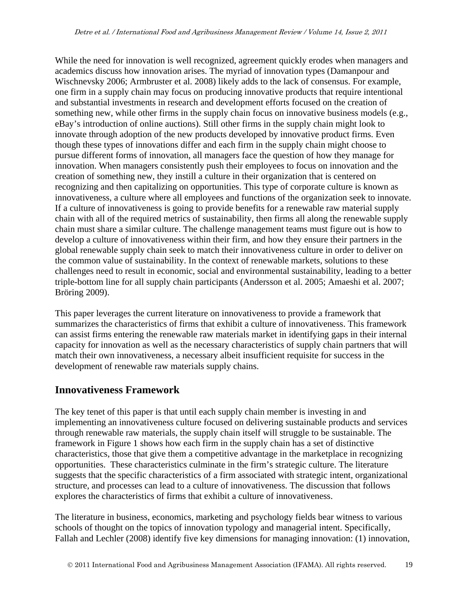While the need for innovation is well recognized, agreement quickly erodes when managers and academics discuss how innovation arises. The myriad of innovation types (Damanpour and Wischnevsky 2006; Armbruster et al. 2008) likely adds to the lack of consensus. For example, one firm in a supply chain may focus on producing innovative products that require intentional and substantial investments in research and development efforts focused on the creation of something new, while other firms in the supply chain focus on innovative business models (e.g., eBay's introduction of online auctions). Still other firms in the supply chain might look to innovate through adoption of the new products developed by innovative product firms. Even though these types of innovations differ and each firm in the supply chain might choose to pursue different forms of innovation, all managers face the question of how they manage for innovation. When managers consistently push their employees to focus on innovation and the creation of something new, they instill a culture in their organization that is centered on recognizing and then capitalizing on opportunities. This type of corporate culture is known as innovativeness, a culture where all employees and functions of the organization seek to innovate. If a culture of innovativeness is going to provide benefits for a renewable raw material supply chain with all of the required metrics of sustainability, then firms all along the renewable supply chain must share a similar culture. The challenge management teams must figure out is how to develop a culture of innovativeness within their firm, and how they ensure their partners in the global renewable supply chain seek to match their innovativeness culture in order to deliver on the common value of sustainability. In the context of renewable markets, solutions to these challenges need to result in economic, social and environmental sustainability, leading to a better triple-bottom line for all supply chain participants (Andersson et al. 2005; Amaeshi et al. 2007; Bröring 2009).

This paper leverages the current literature on innovativeness to provide a framework that summarizes the characteristics of firms that exhibit a culture of innovativeness. This framework can assist firms entering the renewable raw materials market in identifying gaps in their internal capacity for innovation as well as the necessary characteristics of supply chain partners that will match their own innovativeness, a necessary albeit insufficient requisite for success in the development of renewable raw materials supply chains.

# **Innovativeness Framework**

The key tenet of this paper is that until each supply chain member is investing in and implementing an innovativeness culture focused on delivering sustainable products and services through renewable raw materials, the supply chain itself will struggle to be sustainable. The framework in Figure 1 shows how each firm in the supply chain has a set of distinctive characteristics, those that give them a competitive advantage in the marketplace in recognizing opportunities. These characteristics culminate in the firm's strategic culture. The literature suggests that the specific characteristics of a firm associated with strategic intent, organizational structure, and processes can lead to a culture of innovativeness. The discussion that follows explores the characteristics of firms that exhibit a culture of innovativeness.

The literature in business, economics, marketing and psychology fields bear witness to various schools of thought on the topics of innovation typology and managerial intent. Specifically, Fallah and Lechler (2008) identify five key dimensions for managing innovation: (1) innovation,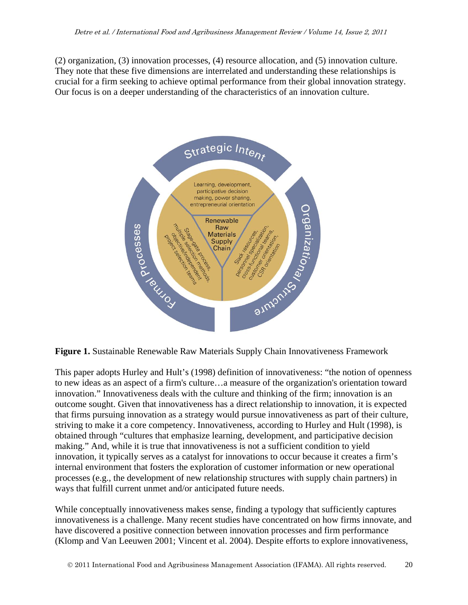(2) organization, (3) innovation processes, (4) resource allocation, and (5) innovation culture. They note that these five dimensions are interrelated and understanding these relationships is crucial for a firm seeking to achieve optimal performance from their global innovation strategy. Our focus is on a deeper understanding of the characteristics of an innovation culture.



**Figure 1.** Sustainable Renewable Raw Materials Supply Chain Innovativeness Framework

This paper adopts Hurley and Hult's (1998) definition of innovativeness: "the notion of openness to new ideas as an aspect of a firm's culture…a measure of the organization's orientation toward innovation." Innovativeness deals with the culture and thinking of the firm; innovation is an outcome sought. Given that innovativeness has a direct relationship to innovation, it is expected that firms pursuing innovation as a strategy would pursue innovativeness as part of their culture, striving to make it a core competency. Innovativeness, according to Hurley and Hult (1998), is obtained through "cultures that emphasize learning, development, and participative decision making." And, while it is true that innovativeness is not a sufficient condition to yield innovation, it typically serves as a catalyst for innovations to occur because it creates a firm's internal environment that fosters the exploration of customer information or new operational processes (e.g., the development of new relationship structures with supply chain partners) in ways that fulfill current unmet and/or anticipated future needs.

While conceptually innovativeness makes sense, finding a typology that sufficiently captures innovativeness is a challenge. Many recent studies have concentrated on how firms innovate, and have discovered a positive connection between innovation processes and firm performance (Klomp and Van Leeuwen 2001; Vincent et al. 2004). Despite efforts to explore innovativeness,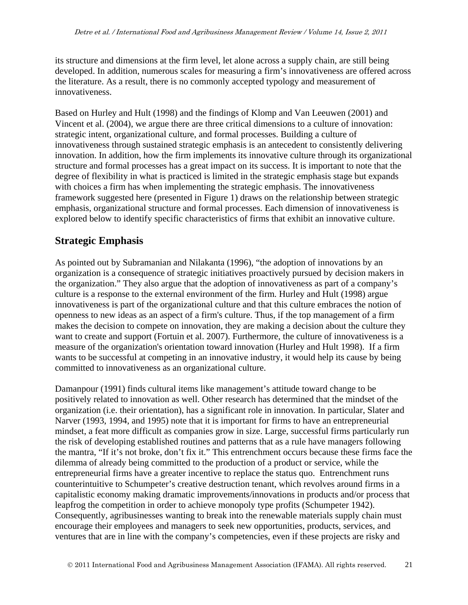its structure and dimensions at the firm level, let alone across a supply chain, are still being developed. In addition, numerous scales for measuring a firm's innovativeness are offered across the literature. As a result, there is no commonly accepted typology and measurement of innovativeness.

Based on Hurley and Hult (1998) and the findings of Klomp and Van Leeuwen (2001) and Vincent et al. (2004), we argue there are three critical dimensions to a culture of innovation: strategic intent, organizational culture, and formal processes. Building a culture of innovativeness through sustained strategic emphasis is an antecedent to consistently delivering innovation. In addition, how the firm implements its innovative culture through its organizational structure and formal processes has a great impact on its success. It is important to note that the degree of flexibility in what is practiced is limited in the strategic emphasis stage but expands with choices a firm has when implementing the strategic emphasis. The innovativeness framework suggested here (presented in Figure 1) draws on the relationship between strategic emphasis, organizational structure and formal processes. Each dimension of innovativeness is explored below to identify specific characteristics of firms that exhibit an innovative culture.

### **Strategic Emphasis**

As pointed out by Subramanian and Nilakanta (1996), "the adoption of innovations by an organization is a consequence of strategic initiatives proactively pursued by decision makers in the organization." They also argue that the adoption of innovativeness as part of a company's culture is a response to the external environment of the firm. Hurley and Hult (1998) argue innovativeness is part of the organizational culture and that this culture embraces the notion of openness to new ideas as an aspect of a firm's culture. Thus, if the top management of a firm makes the decision to compete on innovation, they are making a decision about the culture they want to create and support (Fortuin et al. 2007). Furthermore, the culture of innovativeness is a measure of the organization's orientation toward innovation (Hurley and Hult 1998). If a firm wants to be successful at competing in an innovative industry, it would help its cause by being committed to innovativeness as an organizational culture.

Damanpour (1991) finds cultural items like management's attitude toward change to be positively related to innovation as well. Other research has determined that the mindset of the organization (i.e. their orientation), has a significant role in innovation. In particular, Slater and Narver (1993, 1994, and 1995) note that it is important for firms to have an entrepreneurial mindset, a feat more difficult as companies grow in size. Large, successful firms particularly run the risk of developing established routines and patterns that as a rule have managers following the mantra, "If it's not broke, don't fix it." This entrenchment occurs because these firms face the dilemma of already being committed to the production of a product or service, while the entrepreneurial firms have a greater incentive to replace the status quo. Entrenchment runs counterintuitive to Schumpeter's creative destruction tenant, which revolves around firms in a capitalistic economy making dramatic improvements/innovations in products and/or process that leapfrog the competition in order to achieve monopoly type profits (Schumpeter 1942). Consequently, agribusinesses wanting to break into the renewable materials supply chain must encourage their employees and managers to seek new opportunities, products, services, and ventures that are in line with the company's competencies, even if these projects are risky and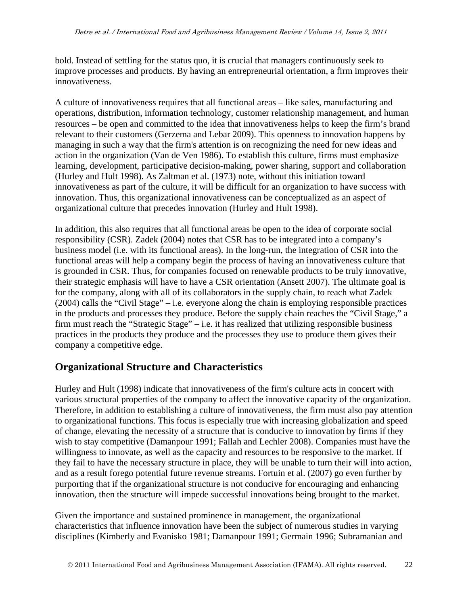bold. Instead of settling for the status quo, it is crucial that managers continuously seek to improve processes and products. By having an entrepreneurial orientation, a firm improves their innovativeness.

A culture of innovativeness requires that all functional areas – like sales, manufacturing and operations, distribution, information technology, customer relationship management, and human resources – be open and committed to the idea that innovativeness helps to keep the firm's brand relevant to their customers (Gerzema and Lebar 2009). This openness to innovation happens by managing in such a way that the firm's attention is on recognizing the need for new ideas and action in the organization (Van de Ven 1986). To establish this culture, firms must emphasize learning, development, participative decision-making, power sharing, support and collaboration (Hurley and Hult 1998). As Zaltman et al. (1973) note, without this initiation toward innovativeness as part of the culture, it will be difficult for an organization to have success with innovation. Thus, this organizational innovativeness can be conceptualized as an aspect of organizational culture that precedes innovation (Hurley and Hult 1998).

In addition, this also requires that all functional areas be open to the idea of corporate social responsibility (CSR). Zadek (2004) notes that CSR has to be integrated into a company's business model (i.e. with its functional areas). In the long-run, the integration of CSR into the functional areas will help a company begin the process of having an innovativeness culture that is grounded in CSR. Thus, for companies focused on renewable products to be truly innovative, their strategic emphasis will have to have a CSR orientation (Ansett 2007). The ultimate goal is for the company, along with all of its collaborators in the supply chain, to reach what Zadek (2004) calls the "Civil Stage" – i.e. everyone along the chain is employing responsible practices in the products and processes they produce. Before the supply chain reaches the "Civil Stage," a firm must reach the "Strategic Stage" – i.e. it has realized that utilizing responsible business practices in the products they produce and the processes they use to produce them gives their company a competitive edge.

### **Organizational Structure and Characteristics**

Hurley and Hult (1998) indicate that innovativeness of the firm's culture acts in concert with various structural properties of the company to affect the innovative capacity of the organization. Therefore, in addition to establishing a culture of innovativeness, the firm must also pay attention to organizational functions. This focus is especially true with increasing globalization and speed of change, elevating the necessity of a structure that is conducive to innovation by firms if they wish to stay competitive (Damanpour 1991; Fallah and Lechler 2008). Companies must have the willingness to innovate, as well as the capacity and resources to be responsive to the market. If they fail to have the necessary structure in place, they will be unable to turn their will into action, and as a result forego potential future revenue streams. Fortuin et al. (2007) go even further by purporting that if the organizational structure is not conducive for encouraging and enhancing innovation, then the structure will impede successful innovations being brought to the market.

Given the importance and sustained prominence in management, the organizational characteristics that influence innovation have been the subject of numerous studies in varying disciplines (Kimberly and Evanisko 1981; Damanpour 1991; Germain 1996; Subramanian and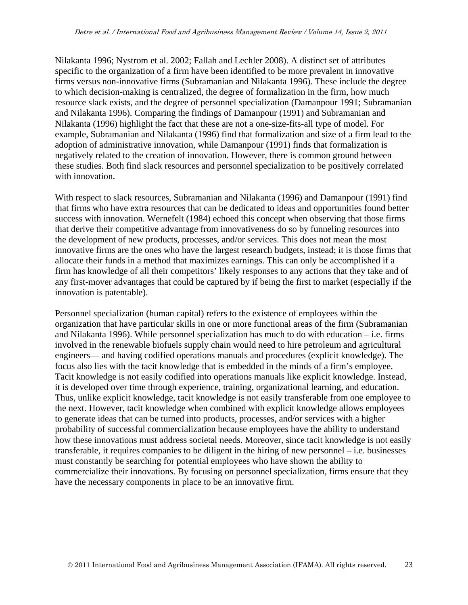Nilakanta 1996; Nystrom et al. 2002; Fallah and Lechler 2008). A distinct set of attributes specific to the organization of a firm have been identified to be more prevalent in innovative firms versus non-innovative firms (Subramanian and Nilakanta 1996). These include the degree to which decision-making is centralized, the degree of formalization in the firm, how much resource slack exists, and the degree of personnel specialization (Damanpour 1991; Subramanian and Nilakanta 1996). Comparing the findings of Damanpour (1991) and Subramanian and Nilakanta (1996) highlight the fact that these are not a one-size-fits-all type of model. For example, Subramanian and Nilakanta (1996) find that formalization and size of a firm lead to the adoption of administrative innovation, while Damanpour (1991) finds that formalization is negatively related to the creation of innovation. However, there is common ground between these studies. Both find slack resources and personnel specialization to be positively correlated with innovation.

With respect to slack resources, Subramanian and Nilakanta (1996) and Damanpour (1991) find that firms who have extra resources that can be dedicated to ideas and opportunities found better success with innovation. Wernefelt (1984) echoed this concept when observing that those firms that derive their competitive advantage from innovativeness do so by funneling resources into the development of new products, processes, and/or services. This does not mean the most innovative firms are the ones who have the largest research budgets, instead; it is those firms that allocate their funds in a method that maximizes earnings. This can only be accomplished if a firm has knowledge of all their competitors' likely responses to any actions that they take and of any first-mover advantages that could be captured by if being the first to market (especially if the innovation is patentable).

Personnel specialization (human capital) refers to the existence of employees within the organization that have particular skills in one or more functional areas of the firm (Subramanian and Nilakanta 1996). While personnel specialization has much to do with education – i.e. firms involved in the renewable biofuels supply chain would need to hire petroleum and agricultural engineers— and having codified operations manuals and procedures (explicit knowledge). The focus also lies with the tacit knowledge that is embedded in the minds of a firm's employee. Tacit knowledge is not easily codified into operations manuals like explicit knowledge. Instead, it is developed over time through experience, training, organizational learning, and education. Thus, unlike explicit knowledge, tacit knowledge is not easily transferable from one employee to the next. However, tacit knowledge when combined with explicit knowledge allows employees to generate ideas that can be turned into products, processes, and/or services with a higher probability of successful commercialization because employees have the ability to understand how these innovations must address societal needs. Moreover, since tacit knowledge is not easily transferable, it requires companies to be diligent in the hiring of new personnel – i.e. businesses must constantly be searching for potential employees who have shown the ability to commercialize their innovations. By focusing on personnel specialization, firms ensure that they have the necessary components in place to be an innovative firm.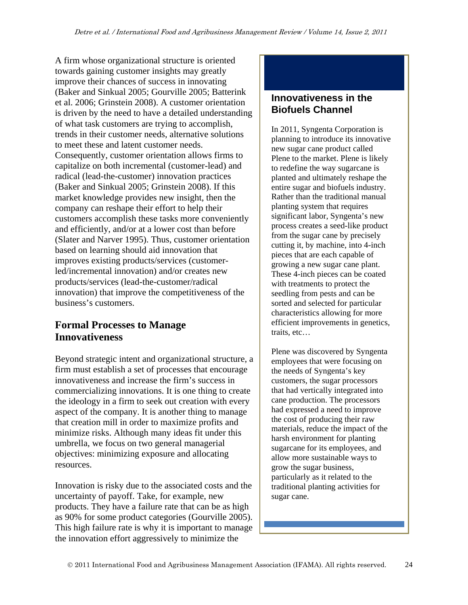A firm whose organizational structure is oriented towards gaining customer insights may greatly improve their chances of success in innovating (Baker and Sinkual 2005; Gourville 2005; Batterink et al. 2006; Grinstein 2008). A customer orientation is driven by the need to have a detailed understanding of what task customers are trying to accomplish, trends in their customer needs, alternative solutions to meet these and latent customer needs. Consequently, customer orientation allows firms to capitalize on both incremental (customer-lead) and radical (lead-the-customer) innovation practices (Baker and Sinkual 2005; Grinstein 2008). If this market knowledge provides new insight, then the company can reshape their effort to help their customers accomplish these tasks more conveniently and efficiently, and/or at a lower cost than before (Slater and Narver 1995). Thus, customer orientation based on learning should aid innovation that improves existing products/services (customerled/incremental innovation) and/or creates new products/services (lead-the-customer/radical innovation) that improve the competitiveness of the business's customers.

# **Formal Processes to Manage Innovativeness**

Beyond strategic intent and organizational structure, a firm must establish a set of processes that encourage innovativeness and increase the firm's success in commercializing innovations. It is one thing to create the ideology in a firm to seek out creation with every aspect of the company. It is another thing to manage that creation mill in order to maximize profits and minimize risks. Although many ideas fit under this umbrella, we focus on two general managerial objectives: minimizing exposure and allocating resources.

Innovation is risky due to the associated costs and the uncertainty of payoff. Take, for example, new products. They have a failure rate that can be as high as 90% for some product categories (Gourville 2005). This high failure rate is why it is important to manage the innovation effort aggressively to minimize the

#### **Innovativeness in the Biofuels Channel**

In 2011, Syngenta Corporation is planning to introduce its innovative new sugar cane product called Plene to the market. Plene is likely to redefine the way sugarcane is planted and ultimately reshape the entire sugar and biofuels industry. Rather than the traditional manual planting system that requires significant labor, Syngenta's new process creates a seed-like product from the sugar cane by precisely cutting it, by machine, into 4-inch pieces that are each capable of growing a new sugar cane plant. These 4-inch pieces can be coated with treatments to protect the seedling from pests and can be sorted and selected for particular characteristics allowing for more efficient improvements in genetics, traits, etc…

Plene was discovered by Syngenta employees that were focusing on the needs of Syngenta's key customers, the sugar processors that had vertically integrated into cane production. The processors had expressed a need to improve the cost of producing their raw materials, reduce the impact of the harsh environment for planting sugarcane for its employees, and allow more sustainable ways to grow the sugar business, particularly as it related to the traditional planting activities for sugar cane.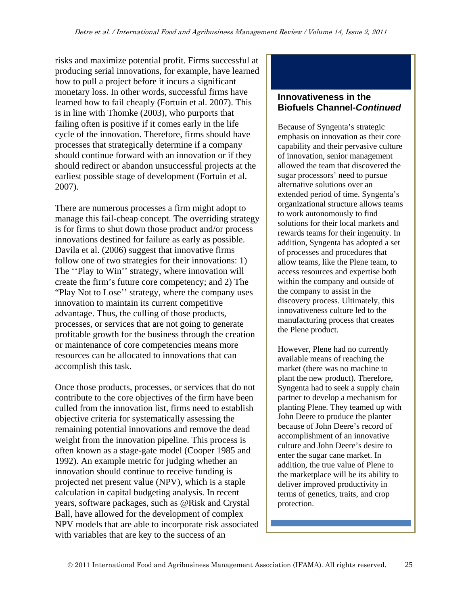risks and maximize potential profit. Firms successful at producing serial innovations, for example, have learned how to pull a project before it incurs a significant monetary loss. In other words, successful firms have learned how to fail cheaply (Fortuin et al. 2007). This is in line with Thomke (2003), who purports that failing often is positive if it comes early in the life cycle of the innovation. Therefore, firms should have processes that strategically determine if a company should continue forward with an innovation or if they should redirect or abandon unsuccessful projects at the earliest possible stage of development (Fortuin et al. 2007).

There are numerous processes a firm might adopt to manage this fail-cheap concept. The overriding strategy is for firms to shut down those product and/or process innovations destined for failure as early as possible. Davila et al. (2006) suggest that innovative firms follow one of two strategies for their innovations: 1) The ''Play to Win'' strategy, where innovation will create the firm's future core competency; and 2) The "Play Not to Lose'' strategy, where the company uses innovation to maintain its current competitive advantage. Thus, the culling of those products, processes, or services that are not going to generate profitable growth for the business through the creation or maintenance of core competencies means more resources can be allocated to innovations that can accomplish this task.

Once those products, processes, or services that do not contribute to the core objectives of the firm have been culled from the innovation list, firms need to establish objective criteria for systematically assessing the remaining potential innovations and remove the dead weight from the innovation pipeline. This process is often known as a stage-gate model (Cooper 1985 and 1992). An example metric for judging whether an innovation should continue to receive funding is projected net present value (NPV), which is a staple calculation in capital budgeting analysis. In recent years, software packages, such as @Risk and Crystal Ball, have allowed for the development of complex NPV models that are able to incorporate risk associated with variables that are key to the success of an

#### **Innovativeness in the Biofuels Channel-***Continued*

Because of Syngenta's strategic emphasis on innovation as their core capability and their pervasive culture of innovation, senior management allowed the team that discovered the sugar processors' need to pursue alternative solutions over an extended period of time. Syngenta's organizational structure allows teams to work autonomously to find solutions for their local markets and rewards teams for their ingenuity. In addition, Syngenta has adopted a set of processes and procedures that allow teams, like the Plene team, to access resources and expertise both within the company and outside of the company to assist in the discovery process. Ultimately, this innovativeness culture led to the manufacturing process that creates the Plene product.

However, Plene had no currently available means of reaching the market (there was no machine to plant the new product). Therefore, Syngenta had to seek a supply chain partner to develop a mechanism for planting Plene. They teamed up with John Deere to produce the planter because of John Deere's record of accomplishment of an innovative culture and John Deere's desire to enter the sugar cane market. In addition, the true value of Plene to the marketplace will be its ability to deliver improved productivity in terms of genetics, traits, and crop protection.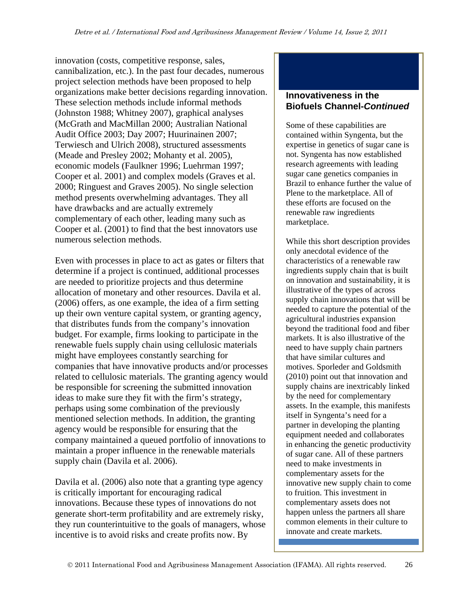innovation (costs, competitive response, sales, cannibalization, etc.). In the past four decades, numerous project selection methods have been proposed to help organizations make better decisions regarding innovation. These selection methods include informal methods (Johnston 1988; Whitney 2007), graphical analyses (McGrath and MacMillan 2000; Australian National Audit Office 2003; Day 2007; Huurinainen 2007; Terwiesch and Ulrich 2008), structured assessments (Meade and Presley 2002; Mohanty et al. 2005), economic models (Faulkner 1996; Luehrman 1997; Cooper et al. 2001) and complex models (Graves et al. 2000; Ringuest and Graves 2005). No single selection method presents overwhelming advantages. They all have drawbacks and are actually extremely complementary of each other, leading many such as Cooper et al. (2001) to find that the best innovators use numerous selection methods.

Even with processes in place to act as gates or filters that determine if a project is continued, additional processes are needed to prioritize projects and thus determine allocation of monetary and other resources. Davila et al. (2006) offers, as one example, the idea of a firm setting up their own venture capital system, or granting agency, that distributes funds from the company's innovation budget. For example, firms looking to participate in the renewable fuels supply chain using cellulosic materials might have employees constantly searching for companies that have innovative products and/or processes related to cellulosic materials. The granting agency would be responsible for screening the submitted innovation ideas to make sure they fit with the firm's strategy, perhaps using some combination of the previously mentioned selection methods. In addition, the granting agency would be responsible for ensuring that the company maintained a queued portfolio of innovations to maintain a proper influence in the renewable materials supply chain (Davila et al. 2006).

Davila et al. (2006) also note that a granting type agency is critically important for encouraging radical innovations. Because these types of innovations do not generate short-term profitability and are extremely risky, they run counterintuitive to the goals of managers, whose incentive is to avoid risks and create profits now. By

#### **Innovativeness in the Biofuels Channel-***Continued*

Some of these capabilities are contained within Syngenta, but the expertise in genetics of sugar cane is not. Syngenta has now established research agreements with leading sugar cane genetics companies in Brazil to enhance further the value of Plene to the marketplace. All of these efforts are focused on the renewable raw ingredients marketplace.

While this short description provides only anecdotal evidence of the characteristics of a renewable raw ingredients supply chain that is built on innovation and sustainability, it is illustrative of the types of across supply chain innovations that will be needed to capture the potential of the agricultural industries expansion beyond the traditional food and fiber markets. It is also illustrative of the need to have supply chain partners that have similar cultures and motives. Sporleder and Goldsmith (2010) point out that innovation and supply chains are inextricably linked by the need for complementary assets. In the example, this manifests itself in Syngenta's need for a partner in developing the planting equipment needed and collaborates in enhancing the genetic productivity of sugar cane. All of these partners need to make investments in complementary assets for the innovative new supply chain to come to fruition. This investment in complementary assets does not happen unless the partners all share common elements in their culture to innovate and create markets.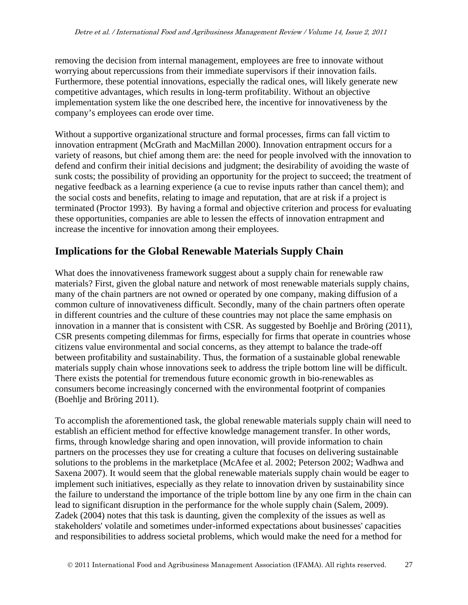removing the decision from internal management, employees are free to innovate without worrying about repercussions from their immediate supervisors if their innovation fails. Furthermore, these potential innovations, especially the radical ones, will likely generate new competitive advantages, which results in long-term profitability. Without an objective implementation system like the one described here, the incentive for innovativeness by the company's employees can erode over time.

Without a supportive organizational structure and formal processes, firms can fall victim to innovation entrapment (McGrath and MacMillan 2000). Innovation entrapment occurs for a variety of reasons, but chief among them are: the need for people involved with the innovation to defend and confirm their initial decisions and judgment; the desirability of avoiding the waste of sunk costs; the possibility of providing an opportunity for the project to succeed; the treatment of negative feedback as a learning experience (a cue to revise inputs rather than cancel them); and the social costs and benefits, relating to image and reputation, that are at risk if a project is terminated (Proctor 1993). By having a formal and objective criterion and process for evaluating these opportunities, companies are able to lessen the effects of innovation entrapment and increase the incentive for innovation among their employees.

# **Implications for the Global Renewable Materials Supply Chain**

What does the innovativeness framework suggest about a supply chain for renewable raw materials? First, given the global nature and network of most renewable materials supply chains, many of the chain partners are not owned or operated by one company, making diffusion of a common culture of innovativeness difficult. Secondly, many of the chain partners often operate in different countries and the culture of these countries may not place the same emphasis on innovation in a manner that is consistent with CSR. As suggested by Boehlje and Bröring (2011), CSR presents competing dilemmas for firms, especially for firms that operate in countries whose citizens value environmental and social concerns, as they attempt to balance the trade-off between profitability and sustainability. Thus, the formation of a sustainable global renewable materials supply chain whose innovations seek to address the triple bottom line will be difficult. There exists the potential for tremendous future economic growth in bio-renewables as consumers become increasingly concerned with the environmental footprint of companies (Boehlje and Bröring 2011).

To accomplish the aforementioned task, the global renewable materials supply chain will need to establish an efficient method for effective knowledge management transfer. In other words, firms, through knowledge sharing and open innovation, will provide information to chain partners on the processes they use for creating a culture that focuses on delivering sustainable solutions to the problems in the marketplace (McAfee et al. 2002; Peterson 2002; Wadhwa and Saxena 2007). It would seem that the global renewable materials supply chain would be eager to implement such initiatives, especially as they relate to innovation driven by sustainability since the failure to understand the importance of the triple bottom line by any one firm in the chain can lead to significant disruption in the performance for the whole supply chain (Salem, 2009). Zadek (2004) notes that this task is daunting, given the complexity of the issues as well as stakeholders' volatile and sometimes under-informed expectations about businesses' capacities and responsibilities to address societal problems, which would make the need for a method for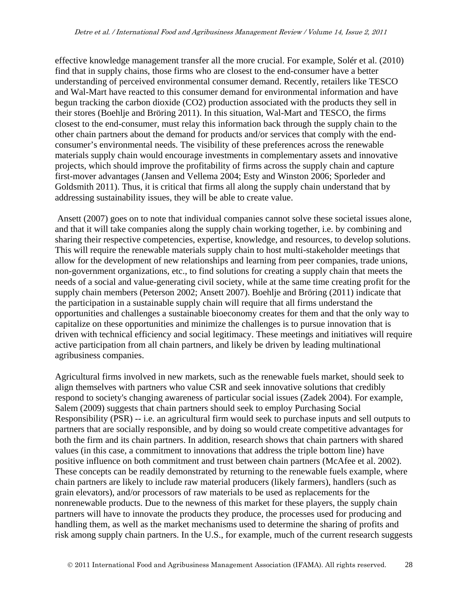effective knowledge management transfer all the more crucial. For example, Solér et al. (2010) find that in supply chains, those firms who are closest to the end-consumer have a better understanding of perceived environmental consumer demand. Recently, retailers like TESCO and Wal-Mart have reacted to this consumer demand for environmental information and have begun tracking the carbon dioxide (CO2) production associated with the products they sell in their stores (Boehlje and Bröring 2011). In this situation, Wal-Mart and TESCO, the firms closest to the end-consumer, must relay this information back through the supply chain to the other chain partners about the demand for products and/or services that comply with the endconsumer's environmental needs. The visibility of these preferences across the renewable materials supply chain would encourage investments in complementary assets and innovative projects, which should improve the profitability of firms across the supply chain and capture first-mover advantages (Jansen and Vellema 2004; Esty and Winston 2006; Sporleder and Goldsmith 2011). Thus, it is critical that firms all along the supply chain understand that by addressing sustainability issues, they will be able to create value.

 Ansett (2007) goes on to note that individual companies cannot solve these societal issues alone, and that it will take companies along the supply chain working together, i.e. by combining and sharing their respective competencies, expertise, knowledge, and resources, to develop solutions. This will require the renewable materials supply chain to host multi-stakeholder meetings that allow for the development of new relationships and learning from peer companies, trade unions, non-government organizations, etc., to find solutions for creating a supply chain that meets the needs of a social and value-generating civil society, while at the same time creating profit for the supply chain members (Peterson 2002; Ansett 2007). Boehlje and Bröring (2011) indicate that the participation in a sustainable supply chain will require that all firms understand the opportunities and challenges a sustainable bioeconomy creates for them and that the only way to capitalize on these opportunities and minimize the challenges is to pursue innovation that is driven with technical efficiency and social legitimacy. These meetings and initiatives will require active participation from all chain partners, and likely be driven by leading multinational agribusiness companies.

Agricultural firms involved in new markets, such as the renewable fuels market, should seek to align themselves with partners who value CSR and seek innovative solutions that credibly respond to society's changing awareness of particular social issues (Zadek 2004). For example, Salem (2009) suggests that chain partners should seek to employ Purchasing Social Responsibility (PSR) -- i.e. an agricultural firm would seek to purchase inputs and sell outputs to partners that are socially responsible, and by doing so would create competitive advantages for both the firm and its chain partners. In addition, research shows that chain partners with shared values (in this case, a commitment to innovations that address the triple bottom line) have positive influence on both commitment and trust between chain partners (McAfee et al. 2002). These concepts can be readily demonstrated by returning to the renewable fuels example, where chain partners are likely to include raw material producers (likely farmers), handlers (such as grain elevators), and/or processors of raw materials to be used as replacements for the nonrenewable products. Due to the newness of this market for these players, the supply chain partners will have to innovate the products they produce, the processes used for producing and handling them, as well as the market mechanisms used to determine the sharing of profits and risk among supply chain partners. In the U.S., for example, much of the current research suggests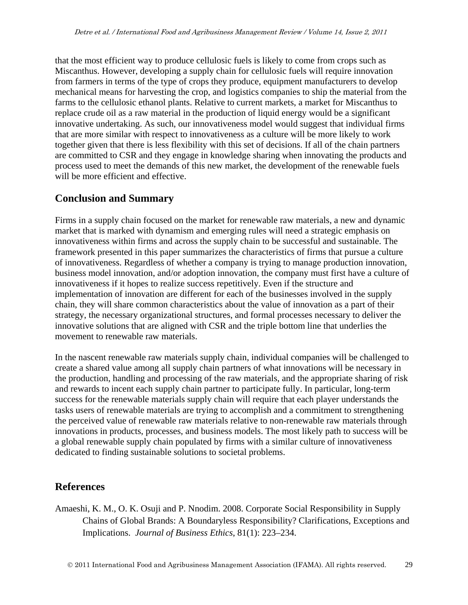that the most efficient way to produce cellulosic fuels is likely to come from crops such as Miscanthus. However, developing a supply chain for cellulosic fuels will require innovation from farmers in terms of the type of crops they produce, equipment manufacturers to develop mechanical means for harvesting the crop, and logistics companies to ship the material from the farms to the cellulosic ethanol plants. Relative to current markets, a market for Miscanthus to replace crude oil as a raw material in the production of liquid energy would be a significant innovative undertaking. As such, our innovativeness model would suggest that individual firms that are more similar with respect to innovativeness as a culture will be more likely to work together given that there is less flexibility with this set of decisions. If all of the chain partners are committed to CSR and they engage in knowledge sharing when innovating the products and process used to meet the demands of this new market, the development of the renewable fuels will be more efficient and effective.

# **Conclusion and Summary**

Firms in a supply chain focused on the market for renewable raw materials, a new and dynamic market that is marked with dynamism and emerging rules will need a strategic emphasis on innovativeness within firms and across the supply chain to be successful and sustainable. The framework presented in this paper summarizes the characteristics of firms that pursue a culture of innovativeness. Regardless of whether a company is trying to manage production innovation, business model innovation, and/or adoption innovation, the company must first have a culture of innovativeness if it hopes to realize success repetitively. Even if the structure and implementation of innovation are different for each of the businesses involved in the supply chain, they will share common characteristics about the value of innovation as a part of their strategy, the necessary organizational structures, and formal processes necessary to deliver the innovative solutions that are aligned with CSR and the triple bottom line that underlies the movement to renewable raw materials.

In the nascent renewable raw materials supply chain, individual companies will be challenged to create a shared value among all supply chain partners of what innovations will be necessary in the production, handling and processing of the raw materials, and the appropriate sharing of risk and rewards to incent each supply chain partner to participate fully. In particular, long-term success for the renewable materials supply chain will require that each player understands the tasks users of renewable materials are trying to accomplish and a commitment to strengthening the perceived value of renewable raw materials relative to non-renewable raw materials through innovations in products, processes, and business models. The most likely path to success will be a global renewable supply chain populated by firms with a similar culture of innovativeness dedicated to finding sustainable solutions to societal problems.

# **References**

Amaeshi, K. M., O. K. Osuji and P. Nnodim. 2008. Corporate Social Responsibility in Supply Chains of Global Brands: A Boundaryless Responsibility? Clarifications, Exceptions and Implications. *Journal of Business Ethics*, 81(1): 223–234.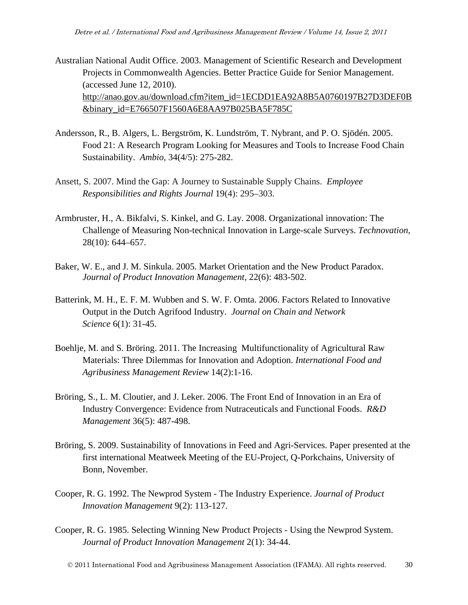- Australian National Audit Office. 2003. Management of Scientific Research and Development Projects in Commonwealth Agencies. Better Practice Guide for Senior Management. (accessed June 12, 2010). http://anao.gov.au/download.cfm?item\_id=1ECDD1EA92A8B5A0760197B27D3DEF0B &binary\_id=E766507F1560A6E8AA97B025BA5F785C
- Andersson, R., B. Algers, L. Bergström, K. Lundström, T. Nybrant, and P. O. Sjödén. 2005. Food 21: A Research Program Looking for Measures and Tools to Increase Food Chain Sustainability. *Ambio*, 34(4/5): 275-282.
- Ansett, S. 2007. Mind the Gap: A Journey to Sustainable Supply Chains. *Employee Responsibilities and Rights Journal* 19(4): 295–303.
- Armbruster, H., A. Bikfalvi, S. Kinkel, and G. Lay. 2008. Organizational innovation: The Challenge of Measuring Non-technical Innovation in Large-scale Surveys. *Technovation*, 28(10): 644–657.
- Baker, W. E., and J. M. Sinkula. 2005. Market Orientation and the New Product Paradox. *Journal of Product Innovation Management*, 22(6): 483-502.
- Batterink, M. H., E. F. M. Wubben and S. W. F. Omta. 2006. Factors Related to Innovative Output in the Dutch Agrifood Industry. *Journal on Chain and Network Science* 6(1): 31-45.
- Boehlje, M. and S. Bröring. 2011. The Increasing Multifunctionality of Agricultural Raw Materials: Three Dilemmas for Innovation and Adoption. *International Food and Agribusiness Management Review* 14(2):1-16.
- Bröring, S., L. M. Cloutier, and J. Leker. 2006. The Front End of Innovation in an Era of Industry Convergence: Evidence from Nutraceuticals and Functional Foods. *R&D Management* 36(5): 487-498.
- Bröring, S. 2009. Sustainability of Innovations in Feed and Agri-Services. Paper presented at the first international Meatweek Meeting of the EU-Project, Q-Porkchains, University of Bonn, November.
- Cooper, R. G. 1992. The Newprod System The Industry Experience. *Journal of Product Innovation Management* 9(2): 113-127.
- Cooper, R. G. 1985. Selecting Winning New Product Projects Using the Newprod System. *Journal of Product Innovation Management* 2(1): 34-44.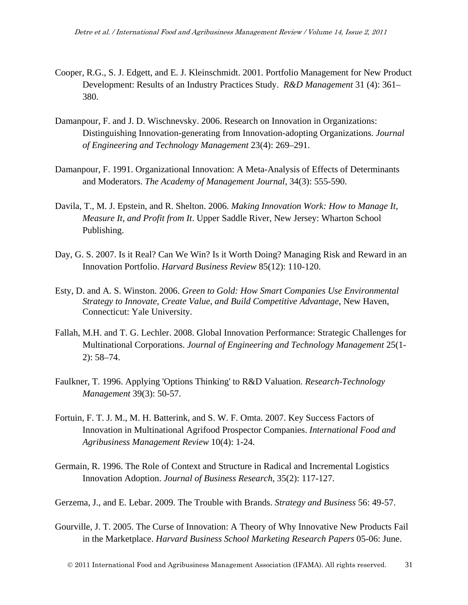- Cooper, R.G., S. J. Edgett, and E. J. Kleinschmidt. 2001. Portfolio Management for New Product Development: Results of an Industry Practices Study. *R&D Management* 31 (4): 361– 380.
- Damanpour, F. and J. D. Wischnevsky. 2006. Research on Innovation in Organizations: Distinguishing Innovation-generating from Innovation-adopting Organizations. *Journal of Engineering and Technology Management* 23(4): 269–291.
- Damanpour, F. 1991. Organizational Innovation: A Meta-Analysis of Effects of Determinants and Moderators. *The Academy of Management Journal*, 34(3): 555-590.
- Davila, T., M. J. Epstein, and R. Shelton. 2006. *Making Innovation Work: How to Manage It, Measure It, and Profit from It*. Upper Saddle River, New Jersey: Wharton School Publishing.
- Day, G. S. 2007. Is it Real? Can We Win? Is it Worth Doing? Managing Risk and Reward in an Innovation Portfolio. *Harvard Business Review* 85(12): 110-120.
- Esty, D. and A. S. Winston. 2006. *Green to Gold: How Smart Companies Use Environmental Strategy to Innovate, Create Value, and Build Competitive Advantage*, New Haven, Connecticut: Yale University.
- Fallah, M.H. and T. G. Lechler. 2008. Global Innovation Performance: Strategic Challenges for Multinational Corporations. *Journal of Engineering and Technology Management* 25(1- 2): 58–74.
- Faulkner, T. 1996. Applying 'Options Thinking' to R&D Valuation. *Research-Technology Management* 39(3): 50-57.
- Fortuin, F. T. J. M., M. H. Batterink, and S. W. F. Omta. 2007. Key Success Factors of Innovation in Multinational Agrifood Prospector Companies. *International Food and Agribusiness Management Review* 10(4): 1-24.
- Germain, R. 1996. The Role of Context and Structure in Radical and Incremental Logistics Innovation Adoption. *Journal of Business Research*, 35(2): 117-127.
- Gerzema, J., and E. Lebar. 2009. The Trouble with Brands. *Strategy and Business* 56: 49-57.
- Gourville, J. T. 2005. The Curse of Innovation: A Theory of Why Innovative New Products Fail in the Marketplace. *Harvard Business School Marketing Research Papers* 05-06: June.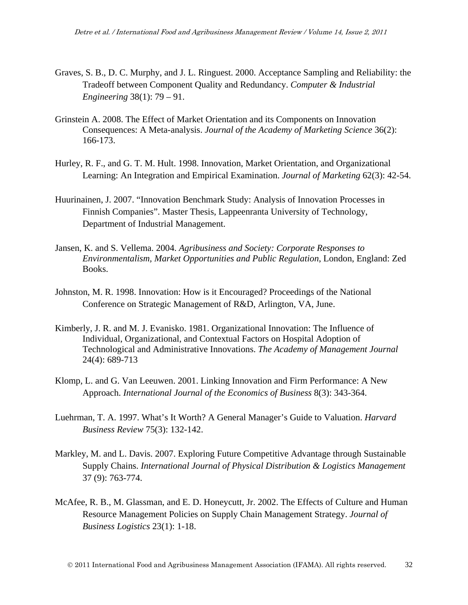- Graves, S. B., D. C. Murphy, and J. L. Ringuest. 2000. Acceptance Sampling and Reliability: the Tradeoff between Component Quality and Redundancy. *Computer & Industrial Engineering* 38(1): 79 – 91.
- Grinstein A. 2008. The Effect of Market Orientation and its Components on Innovation Consequences: A Meta-analysis. *Journal of the Academy of Marketing Science* 36(2): 166-173.
- Hurley, R. F., and G. T. M. Hult. 1998. Innovation, Market Orientation, and Organizational Learning: An Integration and Empirical Examination. *Journal of Marketing* 62(3): 42-54.
- Huurinainen, J. 2007. "Innovation Benchmark Study: Analysis of Innovation Processes in Finnish Companies". Master Thesis, Lappeenranta University of Technology, Department of Industrial Management.
- Jansen, K. and S. Vellema. 2004. *Agribusiness and Society: Corporate Responses to Environmentalism, Market Opportunities and Public Regulation*, London, England: Zed Books.
- Johnston, M. R. 1998. Innovation: How is it Encouraged? Proceedings of the National Conference on Strategic Management of R&D, Arlington, VA, June.
- Kimberly, J. R. and M. J. Evanisko. 1981. Organizational Innovation: The Influence of Individual, Organizational, and Contextual Factors on Hospital Adoption of Technological and Administrative Innovations. *The Academy of Management Journal* 24(4): 689-713
- Klomp, L. and G. Van Leeuwen. 2001. Linking Innovation and Firm Performance: A New Approach. *International Journal of the Economics of Business* 8(3): 343-364.
- Luehrman, T. A. 1997. What's It Worth? A General Manager's Guide to Valuation. *Harvard Business Review* 75(3): 132-142.
- Markley, M. and L. Davis. 2007. Exploring Future Competitive Advantage through Sustainable Supply Chains. *International Journal of Physical Distribution & Logistics Management* 37 (9): 763-774.
- McAfee, R. B., M. Glassman, and E. D. Honeycutt, Jr. 2002. The Effects of Culture and Human Resource Management Policies on Supply Chain Management Strategy. *Journal of Business Logistics* 23(1): 1-18.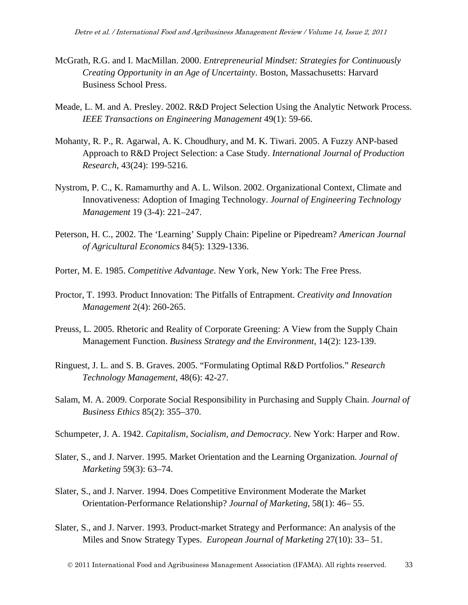- McGrath, R.G. and I. MacMillan. 2000. *Entrepreneurial Mindset: Strategies for Continuously Creating Opportunity in an Age of Uncertainty*. Boston, Massachusetts: Harvard Business School Press.
- Meade, L. M. and A. Presley. 2002. R&D Project Selection Using the Analytic Network Process. *IEEE Transactions on Engineering Management* 49(1): 59-66.
- Mohanty, R. P., R. Agarwal, A. K. Choudhury, and M. K. Tiwari. 2005. A Fuzzy ANP-based Approach to R&D Project Selection: a Case Study. *International Journal of Production Research*, 43(24): 199-5216.
- Nystrom, P. C., K. Ramamurthy and A. L. Wilson. 2002. Organizational Context, Climate and Innovativeness: Adoption of Imaging Technology. *Journal of Engineering Technology Management* 19 (3-4): 221–247.
- Peterson, H. C., 2002. The 'Learning' Supply Chain: Pipeline or Pipedream? *American Journal of Agricultural Economics* 84(5): 1329-1336.
- Porter, M. E. 1985. *Competitive Advantage*. New York, New York: The Free Press.
- Proctor, T. 1993. Product Innovation: The Pitfalls of Entrapment. *Creativity and Innovation Management* 2(4): 260-265.
- Preuss, L. 2005. Rhetoric and Reality of Corporate Greening: A View from the Supply Chain Management Function. *Business Strategy and the Environment*, 14(2): 123-139.
- Ringuest, J. L. and S. B. Graves. 2005. "Formulating Optimal R&D Portfolios." *Research Technology Management*, 48(6): 42-27.
- Salam, M. A. 2009. Corporate Social Responsibility in Purchasing and Supply Chain. *Journal of Business Ethics* 85(2): 355–370.
- Schumpeter, J. A. 1942. *Capitalism, Socialism, and Democracy.* New York: Harper and Row.
- Slater, S., and J. Narver. 1995. Market Orientation and the Learning Organization. *Journal of Marketing* 59(3): 63–74.
- Slater, S., and J. Narver. 1994. Does Competitive Environment Moderate the Market Orientation-Performance Relationship? *Journal of Marketing*, 58(1): 46– 55.
- Slater, S., and J. Narver. 1993. Product-market Strategy and Performance: An analysis of the Miles and Snow Strategy Types. *European Journal of Marketing* 27(10): 33– 51.